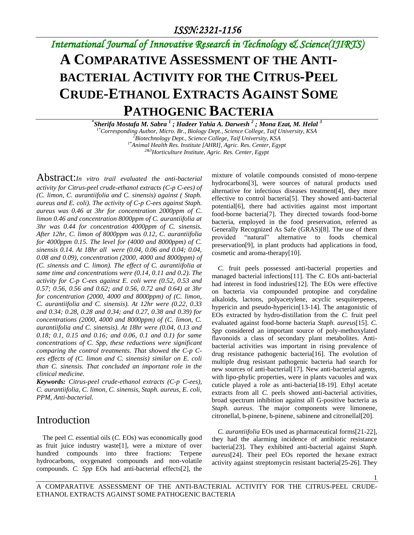# *International Journal of Innovative Research in Technology & Science(IJIRTS)*

# **A COMPARATIVE ASSESSMENT OF THE ANTI-BACTERIAL ACTIVITY FOR THE CITRUS-PEEL CRUDE-ETHANOL EXTRACTS AGAINST SOME PATHOGENIC BACTERIA**

**\*** *Sherifa Mostafa M. Sabra <sup>1</sup> ; Hadeer Yahia A. Darwesh <sup>2</sup> ; Mona Ezat, M. Helal <sup>3</sup> 1\*Corresponding Author, Micro. Br., Biology Dept., Science College, Taif University, KSA <sup>2</sup>Biotechnology Dept., Science College, Taif University, KSA 1\*Animal Health Res. Institute [AHRI], Agric. Res. Center, Egypt 2&3Horticulture Institute, Agric. Res. Center, Egypt*

Abstract:*In vitro trail evaluated the anti-bacterial activity for Citrus-peel crude-ethanol extracts (C-p C-ees) of (C. limon, C. aurantiifolia and C. sinensis) against ( Staph. aureus and E. coli). The activity of C-p C-ees against Staph. aureus was 0.46 at 3hr for concentration 2000ppm of C. limon 0.46 and concentration 8000ppm of C. aurantiifolia at 3hr was 0.44 for concentration 4000ppm of C. sinensis. After 12hr, C. limon of 8000ppm was 0.12, C. aurantiifolia for 4000ppm 0.15. The level for (4000 and 8000ppm) of C. sinensis 0.14. At 18hr all were (0.04, 0.06 and 0.04; 0.04, 0.08 and 0.09), concentration (2000, 4000 and 8000ppm) of (C. sinensis and C. limon). The effect of C. aurantiifolia at same time and concentrations were (0.14, 0.11 and 0.2). The activity for C-p C-ees against E. coli were (0.52, 0.53 and 0.57; 0.56, 0.56 and 0.62; and 0.56, 0.72 and 0.64) at 3hr for concentration (2000, 4000 and 8000ppm) of (C. limon, C. aurantiifolia and C. sinensis). At 12hr were (0.22, 0.33 and 0.34; 0.28, 0.28 and 0.34; and 0.27, 0.38 and 0.39) for concentrations (2000, 4000 and 8000ppm) of (C. limon, C. aurantiifolia and C. sinensis). At 18hr were (0.04, 0.13 and 0.18; 0.1, 0.15 and 0.16; and 0.06, 0.1 and 0.1) for same concentrations of C. Spp, these reductions were significant comparing the control treatments. That showed the C-p Cees effects of (C. limon and C. sinensis) similar on E. coli than C. sinensis. That concluded an important role in the clinical medicine.* 

*Keywords: Citrus-peel crude-ethanol extracts (C-p C-ees), C. aurantiifolia, C. limon, C. sinensis, Staph. aureus, E. coli, PPM, Anti-bacterial.*

#### Introduction

The peel *C.* essential oils (*C.* EOs) was economically good as fruit juice industry waste[1], were a mixture of over hundred compounds into three fractions: Terpene hydrocarbons, oxygenated compounds and non-volatile compounds. *C. Spp* EOs had anti-bacterial effects[2], the

mixture of volatile compounds consisted of mono-terpene hydrocarbons[3], were sources of natural products used alternative for infectious diseases treatment[4], they more effective to control bacteria[5]. They showed anti-bacterial potential[6], there had activities against most important food-borne bacteria[7]. They directed towards food-borne bacteria, employed in the food preservation, referred as Generally Recognized As Safe (GRAS)[8]. The use of them provided "natural" alternative to foods chemical preservation[9], in plant products had applications in food, cosmetic and aroma-therapy[10].

*C.* fruit peels possessed anti-bacterial properties and managed bacterial infections[11]. The *C.* EOs anti-bacterial had interest in food industries[12]. The EOs were effective on bacteria via compounded protopine and corydaline alkaloids, lactons, polyacetylene, acyclic sesquiterpenes, hypericin and pseudo-hypericin[13-14]. The antagonistic of EOs extracted by hydro-distillation from the *C.* fruit peel evaluated against food-borne bacteria *Staph. aureus*[15]. *C. Spp* considered an important source of poly-methoxylated flavonoids a class of secondary plant metabolites. Antibacterial activities was important in rising prevalence of drug resistance pathogenic bacteria[16]. The evolution of multiple drug resistant pathogenic bacteria had search for new sources of anti-bacterial[17]. New anti-bacterial agents, with lipo-phylic properties, were in plants vacuoles and wax cuticle played a role as anti-bacteria[18-19]. Ethyl acetate extracts from all *C.* peels showed anti-bacterial activities, broad spectrum inhibition against all G-positive bacteria as *Staph. aureus*. The major components were limonene, citronellal, b-pinene, b-pinene, sabinene and citronellal[20].

*C. aurantiifolia* EOs used as pharmaceutical forms[21-22], they had the alarming incidence of antibiotic resistance bacteria[23]. They exhibited anti-bacterial against *Staph. aureus*[24]. Their peel EOs reported the hexane extract activity against streptomycin resistant bacteria[25-26]. They

1

A COMPARATIVE ASSESSMENT OF THE ANTI-BACTERIAL ACTIVITY FOR THE CITRUS-PEEL CRUDE-ETHANOL EXTRACTS AGAINST SOME PATHOGENIC BACTERIA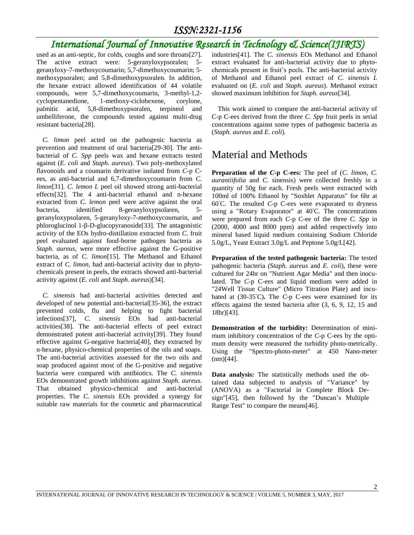### *International Journal of Innovative Research in Technology & Science(IJIRTS)*

used as an anti-septic, for colds, coughs and sore throats[27]. The active extract were: 5-geranyloxypsoralen; 5 geranyloxy-7-methoxycoumarin; 5,7-dimethoxycoumarin; 5 methoxypsoralen; and 5,8-dimethoxypsoralen. In addition, the hexane extract allowed identification of 44 volatile compounds, were 5,7-dimethoxycoumarin, 3-methyl-1,2 cyclopentanedione, 1-methoxy-ciclohexene, corylone, palmitic acid, 5,8-dimethoxypsoralen, terpineol and umbelliferone, the compounds tested against multi-drug resistant bacteria[28].

*C. limon* peel acted on the pathogenic bacteria as prevention and treatment of oral bacteria[29-30]. The antibacterial of *C. Spp* peels wax and hexane extracts tested against (*E. coli* and *Staph. aureus*). Two poly-methoxylated flavonoids and a coumarin derivative isolated from *C-*p Cees, as anti-bacterial and 6,7-dimethoxycoumarin from *C. limon*[31]. *C. lemon L* peel oil showed strong anti-bacterial effects[32]. The 4 anti-bacterial ethanol and n-hexane extracted from *C. lemon* peel were active against the oral bacteria, identified 8-geranyloxypsolaren, 5 geranyloxypsolaren, 5-geranyloxy-7-methoxycoumarin, and phloroglucinol 1-β-D-glucopyranoside[33]. The antagonistic activity of the EOs hydro-distillation extracted from *C.* fruit peel evaluated against food-borne pathogen bacteria as *Staph. aureus*, were more effective against the G-positive bacteria, as of *C. limon*[15]. The Methanol and Ethanol extract of *C. limon*, had anti-bacterial activity due to phytochemicals present in peels, the extracts showed anti-bacterial activity against (*E. coli* and *Staph. aureus*)[34].

*C. sinensis* had anti-bacterial activities detected and developed of new potential anti-bacterial[35-36], the extract prevented colds, flu and helping to fight bacterial infections[37], *C. sinensis* EOs had anti-bacterial activities[38]. The anti-bacterial effects of peel extract demonstrated potent anti-bacterial activity[39]. They found effective against G-negative bacteria[40], they extracted by n-hexane, physico-chemical properties of the oils and soaps. The anti-bacterial activities assessed for the two oils and soap produced against most of the G-positive and negative bacteria were compared with antibiotics. The *C. sinensis* EOs demonstrated growth inhibitions against *Staph. aureus.* That obtained physico-chemical and anti-bacterial properties. The *C. sinensis* EOs provided a synergy for suitable raw materials for the cosmetic and pharmaceutical industries[41]. The *C. sinensis* EOs Methanol and Ethanol extract evaluated for anti-bacterial activity due to phytochemicals present in fruit's peels. The anti-bacterial activity of Methanol and Ethanol peel extract of *C. sinensis L* evaluated on (*E. coli* and *Staph. aureus*). Methanol extract showed maximum inhibition for *Staph. aureus*[34].

This work aimed to compare the anti-bacterial activity of C-p C-ees derived from the three *C. Spp* fruit peels in serial concentrations against some types of pathogenic bacteria as (*Staph. aureus* and *E. coli*).

### Material and Methods

**Preparation of the** *C-***p C-ees:** The peel of (*C. limon*, *C. aurantiifolia* and *C.* sinensis) were collected freshly in a quantity of 50g for each. Fresh peels were extracted with 100ml of 100% Ethanol by "Soxhlet Apparatus" for 6hr at 60◦C. The resulted *C*-p C-ees were evaporated to dryness using a "Rotary Evaporator" at 40℃. The concentrations were prepared from each *C*-p C-ee of the three *C. Spp* in (2000, 4000 and 8000 ppm) and added respectively into mineral based liquid medium containing Sodium Chloride 5.0g/L, Yeast Extract 3.0g/L and Peptone 5.0g/L[42].

**Preparation of the tested pathogenic bacteria:** The tested pathogenic bacteria *(Staph. aureus* and *E. coli*), these were cultured for 24hr on "Nutrient Agar Media" and then inoculated. The *C*-p C-ees and liquid medium were added in "24Well Tissue Culture" (Micro Titration Plate) and incubated at (30-35◦C)**.** The *C*-p C-ees were examined for its effects against the tested bacteria after (3, 6, 9, 12, 15 and 18hr)[43].

**Demonstration of the turbidity:** Determination of minimum inhibitory concentration of the *C-*p C-ees by the optimum density were measured the turbidity photo-metrically. Using the "Spectro-photo-meter" at 450 Nano-meter  $(nm)[44]$ .

**Data analysis:** The statistically methods used the obtained data subjected to analysis of "Variance" by (ANOVA) as a "Factorial in Complete Block Design"[45], then followed by the "Duncan's Multiple Range Test" to compare the means[46].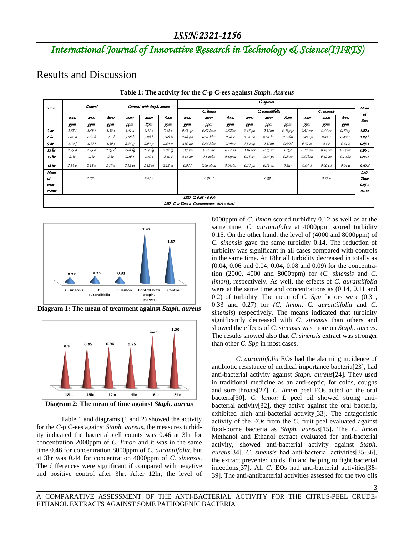## *International Journal of Innovative Research in Technology & Science(IJIRTS)*

Results and Discussion

|        | Control             |        |        | Control with Staph. aureus |           |                   | C. species |                                                            |           |                  |           |            |             |           |            |            |
|--------|---------------------|--------|--------|----------------------------|-----------|-------------------|------------|------------------------------------------------------------|-----------|------------------|-----------|------------|-------------|-----------|------------|------------|
| Time   |                     |        |        |                            |           |                   | C. limon   |                                                            |           | C. aurantiifolia |           |            | C. sinensis |           |            | Mean<br>of |
|        | 2000                | 4000   | 8000   | 2000                       | 4000      | 8000              | 2000       | 4000                                                       | 8000      | 2000             | 4000      | 8000       | 2000        | 4000      | 8000       | time       |
|        | ppm                 | ppm    | ppm    | ppm                        | Ppm       | ppm               | ppm        | ppm                                                        | ppm       | ppm              | ppm       | <b>ppm</b> | ppm         | ppm       | <b>ppm</b> |            |
| 3hr    | 1.58 i              | 1.58 i | 1.58 i | 3.41a                      | 3.41a     | 3.41a             | $0.46$ qr  | $0.52$ lmn                                                 | $0.52$ lm | $0.47$ pq        | $0.51$ lm | $0.46$ pqr | $0.51$ no   | $0.44$ rs | 0.47op     | 1.29 a     |
| 6 hr   | 1.62h               | 1.62 h | 1.62h  | 3.08 b                     | 3.08b     | 3.08b             | 0.48 pq    | 0.54 klm                                                   | 0.58k     | $0.5$ mno        | 0.54 lm   | $0.52$ lm  | $0.49$ op   | 0.41 s    | $0.49$ no  | 1.24 b     |
| 9 hr   | 1.30j               | 1.30j  | 1.30 j | 2.04 g                     | 2.04 g    | 2.04 g            | 0.50 по    | 0.54 klm                                                   | $0.49$ no | $0.5$ nop        | $0.51$ lm | 0.55kl     | $0.42$ rs   | 0.4s      | 0.41 s     | 0.95 с     |
| 12 hr  | 2.25d               | 2.25d  | 2.25d  | $2.08 \text{ fg}$          | $2.08$ fg | $2.08 \text{ fg}$ | $0.17$ vw  | $0.18$ vw                                                  | 0.12 za   | $0.16$ wx        | 0.15 xy   | 0.25t      | $0.17$ vw   | 0.14 yz   | $0.14$ wx  | 0.96 с     |
| 15 hr  | 2.3c                | 2.3c   | 2.3c   | 2.10f                      | 2.10f     | 2.10 f            | 0.11 ab    | $0.1$ zabc                                                 | 0.11yza   | 0.15 xy          | 0.14 yz   | 0.23tu     | $0.07$ bcd  | 0.12 za   | $0.1$ abc  | 0.95 с     |
| 18 hr  | 2.15e               | 2.15e  | 2.15e  | 2.12 ef                    | 2.12 ef   | 2.12 ef           | 0.04d      | 0.08 abcd                                                  | 0.09abc   | $0.14$ yz        | 0.11 ab   | 0.2uv      | $0.04$ $d$  | 0.06 cd   | $0.04$ d   | 0.90 d     |
| Mean   |                     |        |        |                            |           |                   |            |                                                            |           |                  |           |            |             |           |            | LSD        |
| of     | 1.87 b              |        |        | 2.47a                      |           |                   | 0.31 d     |                                                            |           | 0.33c            |           |            | 0.27e       |           |            | Time       |
| treat- |                     |        |        |                            |           |                   |            |                                                            |           |                  |           |            |             | $0.05 -$  |            |            |
| ments  |                     |        |        |                            |           |                   |            |                                                            |           |                  | 0.012     |            |             |           |            |            |
|        | LSD C. 0.05 = 0.009 |        |        |                            |           |                   |            |                                                            |           |                  |           |            |             |           |            |            |
|        |                     |        |        |                            |           |                   |            | LSD $C. \times$ Time $\times$ Concentration $0.05 = 0.041$ |           |                  |           |            |             |           |            |            |





**Diagram 1: The mean of treatment against** *Staph. aureus*



**Diagram 2: The mean of time against** *Staph. aureus*

Table 1 and diagrams (1 and 2) showed the activity for the *C*-p C-ees against *Staph. aureus*, the measures turbidity indicated the bacterial cell counts was 0.46 at 3hr for concentration 2000ppm of *C. limon* and it was in the same time 0.46 for concentration 8000ppm of *C. aurantiifolia*, but at 3hr was 0.44 for concentration 4000ppm of *C. sinensis*. The differences were significant if compared with negative and positive control after 3hr. After 12hr, the level of 8000ppm of *C. limon* scored turbidity 0.12 as well as at the same time, *C. aurantiifolia* at 4000ppm scored turbidity 0.15. On the other hand, the level of (4000 and 8000ppm) of *C. sinensis* gave the same turbidity 0.14. The reduction of turbidity was significant in all cases compared with controls in the same time. At 18hr all turbidity decreased in totally as (0.04, 0.06 and 0.04; 0.04, 0.08 and 0.09) for the concentration (2000, 4000 and 8000ppm) for (*C. sinensis* and *C. limon*), respectively. As well, the effects of *C. aurantiifolia* were at the same time and concentrations as (0.14, 0.11 and 0.2) of turbidity. The mean of *C. Spp* factors were (0.31, 0.33 and 0.27) for *(C. limon, C. aurantiifolia* and *C. sinensis*) respectively. The means indicated that turbidity significantly decreased with *C. sinensis* than others and showed the effects of *C. sinensis* was more on *Staph. aureus*. The results showed also that *C. sinensis* extract was stronger than other *C. Spp* in most cases.

*C. aurantiifolia* EOs had the alarming incidence of antibiotic resistance of medical importance bacteria[23], had anti-bacterial activity against *Staph. aureus*[24]. They used in traditional medicine as an anti-septic, for colds, coughs and sore throats[27]. *C. limon* peel EOs acted on the oral bacteria[30]. *C. lemon L* peel oil showed strong antibacterial activity[32], they active against the oral bacteria, exhibited high anti-bacterial activity[33]. The antagonistic activity of the EOs from the *C.* fruit peel evaluated against food-borne bacteria as *Staph. aureus*[15]. The *C. limon* Methanol and Ethanol extract evaluated for anti-bacterial activity, showed anti-bacterial activity against *Staph. aureus*[34]. *C. sinensis* had anti-bacterial activities[35-36], the extract prevented colds, flu and helping to fight bacterial infections[37]. All *C*. EOs had anti-bacterial activities[38- 39]. The anti-antibacterial activities assessed for the two oils

3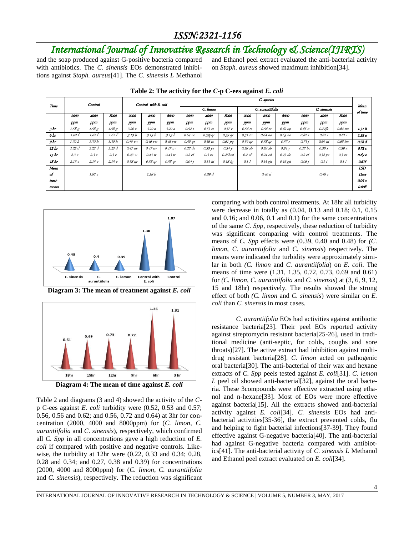## *International Journal of Innovative Research in Technology & Science(IJIRTS)*

and the soap produced against G-positive bacteria compared with antibiotics. The *C. sinensis* EOs demonstrated inhibitions against *Staph. aureus*[41]. The *C. sinensis L* Methanol and Ethanol peel extract evaluated the anti-bacterial activity on *Staph. aureus* showed maximum inhibition[34].

| Time   | Control |        |        | Control with E. coli |           |         | C. species |            |           |                  |           |           |             |         |           |                 |
|--------|---------|--------|--------|----------------------|-----------|---------|------------|------------|-----------|------------------|-----------|-----------|-------------|---------|-----------|-----------------|
|        |         |        |        |                      |           |         | C. limon   |            |           | C. aurantiifolia |           |           | C. sinensis |         |           | Mean<br>of time |
|        | 2000    | 4000   | 8000   | 2000                 | 4000      | 8000    | 2000       | 4000       | 8000      | 2000             | 4000      | 8000      | 2000        | 4000    | 8000      |                 |
|        | ppm     | ppm    | ppm    | ppm                  | ppm       | ppm     | ppm        | ppm        | ppm       | ppm              | ppm       | ppm       | ppm         | ppm     | ppm       |                 |
| 3hr    | 1.58 g  | 1.58 g | 1.58 g | 3.20a                | 3.20a     | 3.20a   | 0.52 t     | $0.53$ st  | 0.57r     | $0.56$ rs        | $0.56$ rs | $0.62$ op | 0.65n       | 0.72jk  | $0.64$ no | 1.31 b          |
| 6 hr   | 1.62 f  | 1.62 f | 1.62 f | 3.13 b               | 3.13 b    | 3.13 b  | $0.64$ no  | $0.59$ pqr | 0.59 qr   | 0.51 tu          | 0.64 по   | 0.63 no   | 0.82 i      | 0.82 i  | 0.81 i    | 1.35a           |
| 9 hr   | 1.30 h  | 1.30 h | 1.30 h | $0.46$ vw            | $0.46$ vw | 0.46 vw | $0.58$ qr  | $0.56$ rs  | $0.61$ pq | $0.59$ qr        | $0.58$ qr | 0.57r     | 0.73j       | 0.69 ki | 0.68 im   | 0.72 d          |
| 12 hr  | 2.25d   | 2.25d  | 2.25d  | 0.47 uv              | 0.47 uv   | 0.47 uv | 0.22 de    | 0.33 yz    | 0.34y     | 0.28 ab          | 0.28 ab   | 0.34y     | 0.27bc      | 0.38x   | 0.39 x    | 0.73 с          |
| 15 hr  | 2.3c    | 2.3c   | 2.3c   | 0.43 w               | 0.43 w    | 0.43 w  | $0.2$ ef   | $0.3$ za   | 0.25bcd   | 0.2ef            | $0.24$ cd | $0.23$ de | 0.2ef       | 0.32 yz | $0.3$ za  | 0.69 е          |
| 18 hr  | 2.15e   | 2.15e  | 2.15e  | $0.58$ ar            | $0.58$ qr | 0.58 qr | 0.04 i     | 0.13 hi    | 0.18 fg   | 0.11             | $0.15$ gh | $0.16$ gh | 0.06 i      | 0.1i    | 0.1i      | 0.61f           |
| Mean   |         |        |        |                      |           |         |            |            |           |                  |           |           |             |         |           | LSD             |
| of     |         | 1.87a  |        |                      | 1.38 b    |         |            | 0.39 d     |           |                  | 0.40d     |           |             | 0.48c   |           | Time            |
| trest- |         |        |        |                      |           |         |            |            |           |                  |           |           |             |         |           | $0.05 =$        |
| ments  |         |        |        |                      |           |         |            |            |           |                  |           |           |             |         |           | 0.008           |

**Table 2: The activity for the** *C***-p C-ees against** *E. coli*







**Diagram 4: The mean of time against** *E. coli*

Table 2 and diagrams (3 and 4) showed the activity of the *C*p C-ees against *E. coli* turbidity were (0.52, 0.53 and 0.57; 0.56, 0.56 and 0.62; and 0.56, 0.72 and 0.64) at 3hr for concentration (2000, 4000 and 8000ppm) for (*C. limon*, *C. aurantiifolia* and *C. sinensis*), respectively, which confirmed all *C. Spp* in all concentrations gave a high reduction of *E. coli* if compared with positive and negative controls. Likewise, the turbidity at 12hr were (0.22, 0.33 and 0.34; 0.28, 0.28 and 0.34; and 0.27, 0.38 and 0.39) for concentrations (2000, 4000 and 8000ppm) for (*C. limon*, *C. aurantiifolia* and *C. sinensis*), respectively. The reduction was significant comparing with both control treatments. At 18hr all turbidity were decrease in totally as (0.04, 0.13 and 0.18; 0.1, 0.15 and 0.16; and 0.06, 0.1 and 0.1) for the same concentrations of the same *C. Spp*, respectively, these reduction of turbidity was significant comparing with control treatments. The means of *C. Spp* effects were (0.39, 0.40 and 0.48) for *(C. limon*, *C. aurantiifolia* and *C. sinensis*) respectively. The means were indicated the turbidity were approximately similar in both *(C. limon* and *C. aurantiifolia*) on *E. coli*. The means of time were (1.31, 1.35, 0.72, 0.73, 0.69 and 0.61) for *(C. limon*, *C. aurantiifolia* and *C. sinensis*) at (3, 6, 9, 12, 15 and 18hr) respectively. The results showed the strong effect of both *(C. limon* and *C. sinensis*) were similar on *E. coli* than *C. sinensis* in most cases.

*C. aurantiifolia* EOs had activities against antibiotic resistance bacteria[23]. Their peel EOs reported activity against streptomycin resistant bacteria[25-26], used in traditional medicine (anti-septic, for colds, coughs and sore throats)[27]. The active extract had inhibition against multidrug resistant bacteria[28]. *C. limon* acted on pathogenic oral bacteria[30]. The anti-bacterial of their wax and hexane extracts of *C. Spp* peels tested against *E. coli*[31]. *C. lemon L* peel oil showed anti-bacterial [32], against the oral bacteria. These 3compounds were effective extracted using ethanol and n-hexane[33]. Most of EOs were more effective against bacteria[15]. All the extracts showed anti-bacterial activity against *E. coli*[34]. *C. sinensis* EOs had antibacterial activities[35-36], the extract prevented colds, flu and helping to fight bacterial infections[37-39]. They found effective against G-negative bacteria[40]. The anti-bacterial had against G-negative bacteria compared with antibiotics[41]. The anti-bacterial activity of *C. sinensis L* Methanol and Ethanol peel extract evaluated on *E. coli*[34].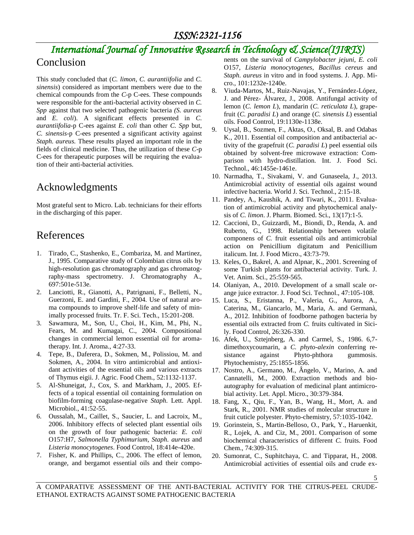## *International Journal of Innovative Research in Technology & Science(IJIRTS)*

### Conclusion

This study concluded that (*C. limon*, *C. aurantiifolia* and *C. sinensis*) considered as important members were due to the chemical compounds from the *C*-p C-ees. These compounds were responsible for the anti-bacterial activity observed in *C. Spp* against that two selected pathogenic bacteria *(S. aureus* and *E. coli*). A significant effects presented in *C. aurantiifolia*-p C-ees against *E. coli* than other *C. Spp* but*, C. sinensis*-p C-ees presented a significant activity against *Staph. aureus.* These results played an important role in the fields of clinical medicine. Thus, the utilization of these *C*-p C-ees for therapeutic purposes will be requiring the evaluation of their anti-bacterial activities.

### Acknowledgments

Most grateful sent to Micro. Lab. technicians for their efforts in the discharging of this paper.

### References

- 1. Tirado, C., Stashenko, E., Combariza, M. and Martinez, J., 1995. Comparative study of Colombian citrus oils by high-resolution gas chromatography and gas chromatography-mass spectrometry. J. Chromatography A., 697:501e-513e.
- 2. Lanciotti, R., Gianotti, A., Patrignani, F., Belletti, N., Guerzoni, E. and Gardini, F., 2004. Use of natural aroma compounds to improve shelf-life and safety of minimally processed fruits. Tr. F. Sci. Tech., 15:201-208.
- 3. Sawamura, M., Son, U., Choi, H., Kim, M., Phi, N., Fears, M. and Kumagai, C., 2004. Compositional changes in commercial lemon essential oil for aromatherapy. Int. J. Aroma., 4:27-33.
- 4. Tepe, B., Daferera, D., Sokmen, M., Polissiou, M. and Sokmen, A., 2004. In vitro antimicrobial and antioxidant activities of the essential oils and various extracts of Thymus eigii. J. Agric. Food Chem., 52:1132-1137.
- 5. Al-Shuneigat, J., Cox, S. and Markham, J., 2005. Effects of a topical essential oil containing formulation on biofilm-forming coagulase-negative *Staph.* Lett. Appl. Microbiol., 41:52-55.
- 6. Oussalah, M., Caillet, S., Saucier, L. and Lacroix, M., 2006. Inhibitory effects of selected plant essential oils on the growth of four pathogenic bacteria: *E. coli* O157:H7, *Salmonella Typhimurium*, *Staph. aureus* and *Listeria monocytogenes*. Food Control, 18:414e-420e.
- 7. Fisher, K. and Phillips, C., 2006. The effect of lemon, orange, and bergamot essential oils and their compo-

nents on the survival of *Campylobacter jejuni*, *E. coli* O157, *Listeria monocytogenes*, *Bacillus cereus* and *Staph. aureus* in vitro and in food systems. J. App. Micro., 101:1232e-1240e.

- 8. Viuda-Martos, M., Ruiz-Navajas, Y., Fernández-López, J. and Pérez- Álvarez, J., 2008. Antifungal activity of lemon (*C. lemon L*), mandarin (*C. reticulata L*), grapefruit (*C. paradisi L*) and orange (*C. sinensis L*) essential oils. Food Control, 19:1130e-1138e.
- 9. Uysal, B., Sozmen, F., Aktas, O., Oksal, B. and Odabas K., 2011. Essential oil composition and antibacterial activity of the grapefruit (*C. paradisi L*) peel essential oils obtained by solvent-free microwave extraction: Comparison with hydro-distillation. Int. J. Food Sci. Technol., 46:1455e-1461e.
- 10. Narmadha, T., Sivakami, V. and Gunaseela, J., 2013. Antimicrobial activity of essential oils against wound infective bacteria. World J. Sci. Technol., 2:15-18.
- 11. Pandey, A., Kaushik, A. and Tiwari, K., 2011. Evaluation of antimicrobial activity and phytochemical analysis of *C. limon*. J. Pharm. Biomed. Sci., 13(17):1-5.
- 12. Caccioni, D., Guizzardi, M., Biondi, D., Renda, A. and Ruberto, G., 1998. Relationship between volatile componens of *C.* fruit essential oils and antimicrobial action on Penicillium digitatum and Penicillium italicum. Int. J. Food Micro., 43:73-79.
- 13. Keles, O., Bakrel, A. and Alpnar, K., 2001. Screening of some Turkish plants for antibacterial activity. Turk. J. Vet. Anim. Sci., 25:559-565.
- 14. Olaniyan, A., 2010. Development of a small scale orange juice extractor. J. Food Sci. Technol., 47:105-108.
- 15. Luca, S., Eristanna, P., Valeria, G., Aurora, A., Caterina, M., Giancarlo, M., Maria, A. and Germanà, A., 2012. Inhibition of foodborne pathogen bacteria by essential oils extracted from *C.* fruits cultivated in Sicily. Food Control, 26:326-330.
- 16. Afek, U., Sztejnberg, A. and Carmel, S., 1986. 6,7 dimethoxycoumarin, a *C. phyto-alexin* conferring resistance against Phyto-phthora gummosis. Phytochemistry, 25:1855-1856.
- 17. Nostro, A., Germano, M., Ângelo, V., Marino, A. and Cannatelli, M., 2000. Extraction methods and bioautography for evaluation of medicinal plant antimicrobial activity. Let. Appl. Micro., 30:379-384.
- 18. Fang, X., Qiu, F., Yan, B., Wang, H., Mort, A. and Stark, R., 2001. NMR studies of molecular structure in fruit cuticle polyester. Phyto-chemistry, 57:1035-1042.
- 19. Gorinstein, S., Martin-Belloso, O., Park, Y., Haruenkit, R., Lojek, A. and Ciz, M., 2001. Comparison of some biochemical characteristics of different *C.* fruits. Food Chem., 74:309-315.
- 20. Sumonrat, C., Suphitchaya, C. and Tipparat, H., 2008. Antimicrobial activities of essential oils and crude ex-

A COMPARATIVE ASSESSMENT OF THE ANTI-BACTERIAL ACTIVITY FOR THE CITRUS-PEEL CRUDE-ETHANOL EXTRACTS AGAINST SOME PATHOGENIC BACTERIA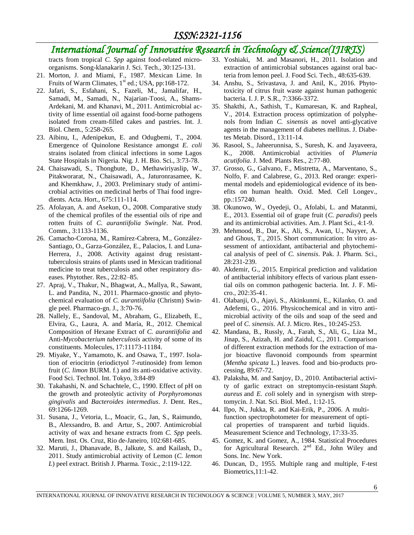## *International Journal of Innovative Research in Technology & Science(IJIRTS)*

tracts from tropical *C. Spp* against food-related microorganisms. Song-klanakarin J. Sci. Tech., 30:125-131.

- 21. Morton, J. and Miami, F., 1987. Mexican Lime. In Fruits of Warm Climates,  $1<sup>st</sup>$  ed.; USA, pp:168-172.
- 22. Jafari, S., Esfahani, S., Fazeli, M., Jamalifar, H., Samadi, M., Samadi, N., Najarian-Toosi, A., Shams-Ardekani, M. and Khanavi, M., 2011. Antimicrobial activity of lime essential oil against food-borne pathogens isolated from cream-filled cakes and pastries. Int. J. Biol. Chem., 5:258-265.
- 23. Aibinu, I., Adenipekun, E. and Odugbemi, T., 2004. Emergence of Quinolone Resistance amongst *E. coli* strains isolated from clinical infections in some Lagos State Hospitals in Nigeria. Nig. J. H. Bio. Sci., 3:73-78.
- 24. Chaisawadi, S., Thongbute, D., Methawiriyaslip, W., Pitakworarat, N., Chaisawadi, A., Jaturonrasamee, K. and Khemkhaw, J., 2003. Preliminary study of antimicrobial activities on medicinal herbs of Thai food ingredients. Acta. Hort., 675:111-114.
- 25. Afolayan, A. and Asekun, O., 2008. Comparative study of the chemical profiles of the essential oils of ripe and rotten fruits of *C. aurantiifolia Swingle*. Nat. Prod. Comm., 3:1133-1136.
- 26. Camacho-Corona, M., Ramírez-Cabrera, M., González-Santiago, O., Garza-González, E., Palacios, I. and Luna-Herrera, J., 2008. Activity against drug resistanttuberculosis strains of plants used in Mexican traditional medicine to treat tuberculosis and other respiratory diseases. Phytother. Res., 22:82–85.
- 27. Apraj, V., Thakur, N., Bhagwat, A., Mallya, R., Sawant, L. and Pandita, N., 2011. Pharmaco-gnostic and phytochemical evaluation of *C. aurantiifolia* (Christm) Swingle peel. Pharmaco-gn. J., 3:70-76.
- 28. Nallely, E., Sandoval, M., Abraham, G., Elizabeth, E., Elvira, G., Laura, A. and María, R., 2012. Chemical Composition of Hexane Extract of *C. aurantiifolia* and Anti-*Mycobacterium tuberculosis* activity of some of its constituents. Molecules, 17:11173-11184.
- 29. Miyake, Y., Yamamoto, K. and Osawa, T., 1997. Isolation of eriocitrin (eriodictyol 7-rutinoside) from lemon fruit (*C. limon* BURM. f.) and its anti-oxidative activity. Food Sci. Technol. Int. Tokyo, 3:84-89
- 30. Takahashi, N. and Schachtele, C., 1990. Effect of pH on the growth and proteolytic activity of *Porphyromonas gingivalis* and *Bacteroides intermedius*. J. Dent. Res., 69:1266-1269.
- 31. Susana, J., Vetoria, L., Moacir, G., Jan, S., Raimundo, B., Alexsandro, B. and Artur, S., 2007. Antimicrobial activity of wax and hexane extracts from *C. Spp* peels. Mem. Inst. Os. Cruz, Rio de-Janeiro, 102:681-685.
- 32. Maruti, J., Dhanavade, B., Jalkute, S. and Kailash, D., 2011. Study antimicrobial activity of Lemon (*C. lemon L*) peel extract. British J. Pharma. Toxic., 2:119-122.
- 33. Yoshiaki, M. and Masanori, H., 2011. Isolation and extraction of antimicrobial substances against oral bacteria from lemon peel. J. Food Sci. Tech., 48:635-639.
- 34. Anshu, S., Srivastava, J. and Anil, K., 2016. Phytotoxicity of citrus fruit waste against human pathogenic bacteria. I. J. P. S.R., 7:3366-3372.
- 35. Shakthi, A., Sathish, T., Kumaresan, K. and Rapheal, V., 2014. Extraction process optimization of polyphenols from Indian *C. sinensis* as novel anti-glycative agents in the management of diabetes mellitus. J. Diabetes Metab. Disord., 13:11-14.
- 36. Rasool, S., Jaheerunnisa, S., Suresh, K. and Jayaveera, K., 2008. Antimicrobial activities of *Plumeria acutifolia*. J. Med. Plants Res., 2:77-80.
- 37. Grosso, G., Galvano, F., Mistretta, A., Marventano, S., Nolfo, F. and Calabrese, G., 2013. Red orange: experimental models and epidemiological evidence of its benefits on human health. Oxid. Med. Cell Longev., pp.:157240.
- 38. Okunowo, W., Oyedeji, O., Afolabi, L. and Matanmi, E., 2013. Essential oil of grape fruit (*C. paradisi*) peels and its antimicrobial activities. Am. J. Plant Sci., 4:1-9.
- 39. Mehmood, B., Dar, K., Ali, S., Awan, U., Nayyer, A. and Ghous, T., 2015. Short communication: In vitro assessment of antioxidant, antibacterial and phytochemical analysis of peel of *C. sinensis*. Pak. J. Pharm. Sci., 28:231-239.
- 40. Akdemir, G., 2015. Empirical prediction and validation of antibacterial inhibitory effects of various plant essential oils on common pathogenic bacteria. Int. J. F. Micro., 202:35-41.
- 41. Olabanji, O., Ajayi, S., Akinkunmi, E., Kilanko, O. and Adefemi, G., 2016. Physicochemical and in vitro antimicrobial activity of the oils and soap of the seed and peel of *C. sinensis*. Af. J. Micro. Res., 10:245-253.
- 42. Mandana, B., Russly, A., Farah, S., Ali, G., Liza M., Jinap, S., Azizah, H. and Zaidul, C., 2011. Comparison of different extraction methods for the extraction of major bioactive flavonoid compounds from spearmint (*Mentha spicata* L.) leaves. food and bio-products processing, 89:67-72.
- 43. [Palaksha,](http://www.ncbi.nlm.nih.gov/pubmed/?term=Palaksha%20MN%5BAuthor%5D&cauthor=true&cauthor_uid=22096329) M. and [Sanjoy, D., 2](http://www.ncbi.nlm.nih.gov/pubmed/?term=Das%20S%5BAuthor%5D&cauthor=true&cauthor_uid=22096329)010. Antibacterial activity of garlic extract on streptomycin-resistant *Staph. aureus* and *E. coli* solely and in synergism with streptomycin. [J. Nat. Sci. Biol. Med.](http://www.ncbi.nlm.nih.gov/pmc/articles/PMC3217283/), 1:12-15.
- 44. Ilpo, N., Jukka, R. and Kai-Erik, P., 2006. A multifunction spectrophotometer for measurement of optical properties of transparent and turbid liquids. [Measurement](http://iopscience.iop.org/journal/0957-0233) Science and Technology, [17:](http://iopscience.iop.org/volume/0957-0233/17)33-35.
- 45. Gomez, K. and Gomez, A., 1984. Statistical Procedures for Agricultural Research.  $2<sup>nd</sup>$  Ed., John Wiley and Sons. Inc. New York.
- 46. Duncan, D., 1955. Multiple rang and multiple, F-test Biometrics,11:1-42.